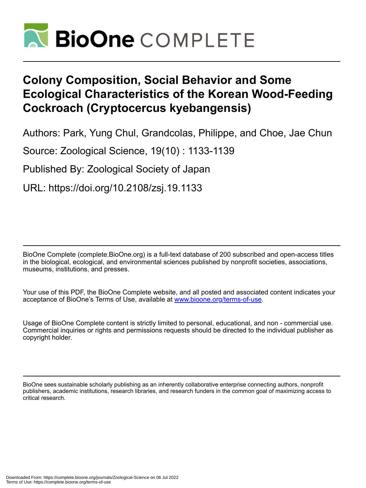

# **Colony Composition, Social Behavior and Some Ecological Characteristics of the Korean Wood-Feeding Cockroach (Cryptocercus kyebangensis)**

Authors: Park, Yung Chul, Grandcolas, Philippe, and Choe, Jae Chun

Source: Zoological Science, 19(10) : 1133-1139

Published By: Zoological Society of Japan

URL: https://doi.org/10.2108/zsj.19.1133

BioOne Complete (complete.BioOne.org) is a full-text database of 200 subscribed and open-access titles in the biological, ecological, and environmental sciences published by nonprofit societies, associations, museums, institutions, and presses.

Your use of this PDF, the BioOne Complete website, and all posted and associated content indicates your acceptance of BioOne's Terms of Use, available at www.bioone.org/terms-of-use.

Usage of BioOne Complete content is strictly limited to personal, educational, and non - commercial use. Commercial inquiries or rights and permissions requests should be directed to the individual publisher as copyright holder.

BioOne sees sustainable scholarly publishing as an inherently collaborative enterprise connecting authors, nonprofit publishers, academic institutions, research libraries, and research funders in the common goal of maximizing access to critical research.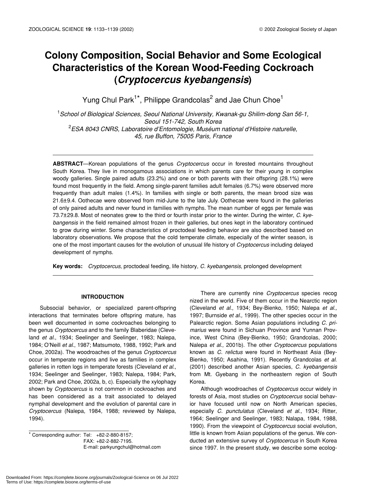# **Colony Composition, Social Behavior and Some Ecological Characteristics of the Korean Wood-Feeding Cockroach (***Cryptocercus kyebangensis***)**

Yung Chul Park<sup>1\*</sup>, Philippe Grandcolas<sup>2</sup> and Jae Chun Choe<sup>1</sup>

1 *School of Biological Sciences, Seoul National University, Kwanak-gu Shilim-dong San 56-1, Seoul 151-742, South Korea* 2 *ESA 8043 CNRS, Laboratoire d'Entomologie, Muséum national d'Histoire naturelle, 45, rue Buffon, 75005 Paris, France*

**ABSTRACT**—Korean populations of the genus *Cryptocercus* occur in forested mountains throughout South Korea. They live in monogamous associations in which parents care for their young in complex woody galleries. Single paired adults (23.2%) and one or both parents with their offspring (28.1%) were found most frequently in the field. Among single-parent families adult females (6.7%) were observed more frequently than adult males (1.4%). In families with single or both parents, the mean brood size was 21.6±9.4. Oothecae were observed from mid-June to the late July. Oothecae were found in the galleries of only paired adults and never found in families with nymphs. The mean number of eggs per female was 73.7±29.8. Most of neonates grew to the third or fourth instar prior to the winter. During the winter, *C. kyebangensis* in the field remained almost frozen in their galleries, but ones kept in the laboratory continued to grow during winter. Some characteristics of proctodeal feeding behavior are also described based on laboratory observations. We propose that the cold temperate climate, especially of the winter season, is one of the most important causes for the evolution of unusual life history of *Cryptocercus* including delayed development of nymphs.

**Key words:** *Cryptocercus*, proctodeal feeding, life history, *C. kyebangensis*, prolonged development

# **INTRODUCTION**

Subsocial behavior, or specialized parent-offspring interactions that terminates before offspring mature, has been well documented in some cockroaches belonging to the genus *Cryptocercus* and to the family Blaberidae (Cleveland *et al*., 1934; Seelinger and Seelinger, 1983; Nalepa, 1984; O'Neill *et al*., 1987; Matsumoto, 1988, 1992; Park and Choe, 2002a). The woodroaches of the genus *Cryptocercus* occur in temperate regions and live as families in complex galleries in rotten logs in temperate forests (Cleveland *et al*., 1934; Seelinger and Seelinger, 1983; Nalepa, 1984; Park, 2002; Park and Choe, 2002a, b, c). Especially the xylophagy shown by *Cryptocercus* is not common in cockroaches and has been considered as a trait associated to delayed nymphal development and the evolution of parental care in *Cryptocercus* (Nalepa, 1984, 1988; reviewed by Nalepa, 1994).

\* Corresponding author: Tel: +82-2-880-8157; FAX: +82-2-882-7195. E-mail: parkyungchul@hotmail.com

There are currently nine *Cryptocercus* species recog nized in the world. Five of them occur in the Nearctic region (Cleveland *et al*., 1934; Bey-Bienko, 1950; Nalepa *et al.,* 1997; Burnside *et al.,* 1999). The other species occur in the Palearctic region. Some Asian populations including *C. primarius* were found in Sichuan Province and Yunnan Province, West China (Bey-Bienko, 1950; Grandcolas, 2000; Nalepa *et al*., 2001b). The other *Cryptocercus* populations known as *C. relictus* were found in Northeast Asia (Bey-Bienko, 1950; Asahina, 1991). Recently Grandcolas *et al*. (2001) described another Asian species, *C. kyebangensis* from Mt. Gyebang in the northeastern region of South Korea.

Although woodroaches of *Cryptocercus* occur widely in forests of Asia, most studies on *Cryptocercus* social behavior have focused until now on North American species, especially *C. punctulatus* (Cleveland *et al*., 1934; Ritter, 1964; Seelinger and Seelinger, 1983; Nalapa, 1984, 1988, 1990). From the viewpoint of *Cryptocercus* social evolution, little is known from Asian populations of the genus. We conducted an extensive survey of *Cryptocercus* in South Korea since 1997. In the present study, we describe some ecolog-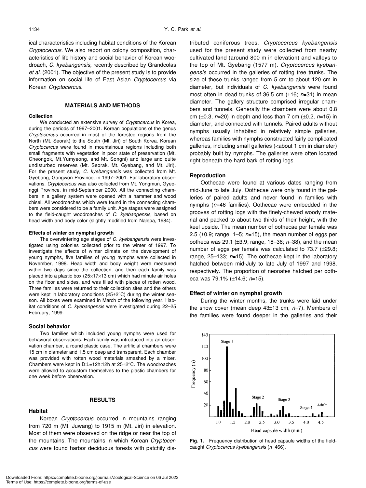ical characteristics including habitat conditions of the Korean *Cryptocercus*. We also report on colony composition, characteristics of life history and social behavior of Korean woodroach, *C. kyebangensis,* recently described by Grandcolas *et al.* (2001). The objective of the present study is to provide information on social life of East Asian *Cryptocercus* via Korean *Cryptocercus*.

# **MATERIALS AND METHODS**

#### **Collection**

We conducted an extensive survey of *Cryptocercus* in Korea, during the periods of 1997–2001. Korean populations of the genus *Cryptocercus* occurred in most of the forested regions from the North (Mt. Seorak) to the South (Mt. Jiri) of South Korea. Korean *Cryptocercus* were found in mountainous regions including both small fragments with vegetation in poor state of preservation (Mt. Cheongok, Mt.Yumyeong, and Mt. Songni) and large and quite undisturbed reserves (Mt. Seorak, Mt. Gyebang, and Mt. Jiri). For the present study, *C. kyebangensis* was collected from Mt. Gyebang, Gangwon Province, in 1997–2001. For laboratory observations, *Cryptocercus* was also collected from Mt. Yongmun, Gyeonggi Province, in mid-September 2000. All the connecting chambers in a gallery system were opened with a hammer and wood chisel. All woodroaches which were found in the connecting chambers were considered to be a family unit. Age stages were assigned to the field-caught woodroaches of *C. kyebangensis*, based on head width and body color (slightly modified from Nalepa, 1984).

#### **Effects of winter on nymphal growth**

The overwintering age stages of *C. kyebangensis* were investigated using colonies collected prior to the winter of 1997. To investigate the effects of winter climate on the development of young nymphs, five families of young nymphs were collected in November, 1998. Head width and body weight were measured within two days since the collection, and then each family was placed into a plastic box  $(25\times17\times13$  cm) which had minute air holes on the floor and sides, and was filled with pieces of rotten wood. Three families were returned to their collection sites and the others were kept in laboratory conditions (25±2°C) during the winter season. All boxes were examined in March of the following year. Habitat conditions of *C. kyebangensis* were investigated during 22–25 February, 1999.

#### **Social behavior**

Two families which included young nymphs were used for behavioral observations. Each family was introduced into an observation chamber, a round plastic case. The artificial chambers were 15 cm in diameter and 1.5 cm deep and transparent. Each chamber was provided with rotten wood materials smashed by a mixer. Chambers were kept in D:L=12h:12h at 25±2°C. The woodroaches were allowed to accustom themselves to the plastic chambers for one week before observation.

## **RESULTS**

# **Habitat**

Korean *Cryptocercus* occurred in mountains ranging from 720 m (Mt. Juwang) to 1915 m (Mt. Jiri) in elevation. Most of them were observed on the ridge or near the top of the mountains. The mountains in which Korean *Cryptocercus* were found harbor deciduous forests with patchily distributed coniferous trees. *Cryptocercus kyebangensis* used for the present study were collected from nearby cultivated land (around 800 m in elevation) and valleys to the top of Mt. Gyebang (1577 m). *Cryptocercus kyebangensis* occurred in the galleries of rotting tree trunks. The size of these trunks ranged from 5 cm to about 120 cm in diameter, but individuals of *C. kyebangensis* were found most often in dead trunks of 36.5 cm (±16; *n*=31) in mean diameter. The gallery structure comprised irregular chambers and tunnels. Generally the chambers were about 0.8 cm (±0.3, *n*=20) in depth and less than 7 cm (±0.2, *n*=15) in diameter, and connected with tunnels. Paired adults without nymphs usually inhabited in relatively simple galleries, whereas families with nymphs constructed fairly complicated galleries, including small galleries (<about 1 cm in diameter) probably built by nymphs. The galleries were often located right beneath the hard bark of rotting logs.

# **Reproduction**

Oothecae were found at various dates ranging from mid-June to late July. Oothecae were only found in the galleries of paired adults and never found in families with nymphs (*n*=46 families). Oothecae were embedded in the grooves of rotting logs with the finely-chewed woody material and packed to about two thirds of their height, with the keel upside. The mean number of oothecae per female was 2.5 ( $\pm$ 0.9; range, 1–5;  $n=15$ ), the mean number of eggs per ootheca was 29.1 (±3.9; range, 18–36; *n*=38), and the mean number of eggs per female was calculated to 73.7 (±29.8; range, 25–133; *n*=15). The oothecae kept in the laboratory hatched between mid-July to late July of 1997 and 1998, respectively. The proportion of neonates hatched per ootheca was 79.1% (±14.6; *n*=15).

# **Effect of winter on nymphal growth**

During the winter months, the trunks were laid under the snow cover (mean deep 43±13 cm, *n*=7). Members of the families were found deeper in the galleries and their



**Fig. 1.** Frequency distribution of head capsule widths of the fieldcaught *Cryptocercus kyebangensis* (*n*=466).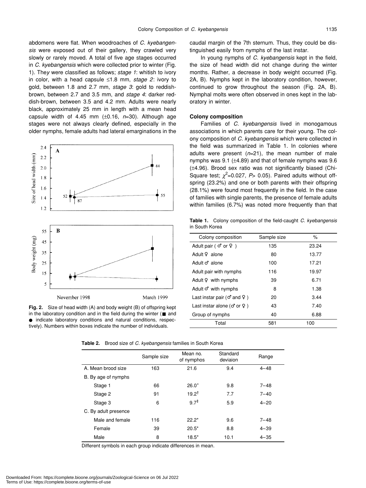abdomens were flat. When woodroaches of *C. kyebangensis* were exposed out of their gallery, they crawled very slowly or rarely moved. A total of five age stages occurred in *C. kyebangensis* which were collected prior to winter (Fig. 1). The*y* were classified as follows; *stage 1*: whitish to ivory in color, with a head capsule ≤1.8 mm, *stage 2*: ivory to gold, between 1.8 and 2.7 mm, *stage 3*: gold to reddishbrown, between 2.7 and 3.5 mm, and *stage 4*: darker reddish-brown, between 3.5 and 4.2 mm. Adults were nearly black, approximately 25 mm in length with a mean head capsule width of 4.45 mm (±0.16, *n*=30). Although age stages were not always clearly defined, especially in the older nymphs, female adults had lateral emarginations in the





caudal margin of the 7th sternum. Thus, they could be distinguished easily from nymphs of the last instar.

In young nymphs of *C. kyebangensis* kept in the field, the size of head width did not change during the winter months. Rather, a decrease in body weight occurred (Fig. 2A, B). Nymphs kept in the laboratory condition, however, continued to grow throughout the season (Fig. 2A, B). Nymphal molts were often observed in ones kept in the laboratory in winter.

#### **Colony composition**

Families of *C. kyebangensis* lived in monogamous associations in which parents care for their young. The colony composition of *C. kyebangensis* which were collected in the field was summarized in Table 1. In colonies where adults were present (*n*=21), the mean number of male nymphs was 9.1 (±4.89) and that of female nymphs was 9.6 (±4.96). Brood sex ratio was not significantly biased (Chi-Square test;  $\chi^2$ =0.027, P> 0.05). Paired adults without offspring (23.2%) and one or both parents with their offspring (28.1%) were found most frequently in the field. In the case of families with single parents, the presence of female adults within families (6.7%) was noted more frequently than that

**Table 1.** Colony composition of the field-caught *C. kyebangensis* in South Korea

| Colony composition        | Sample size | $\%$  |  |
|---------------------------|-------------|-------|--|
| Adult pair (<br>or        | 135         | 23.24 |  |
| Adult<br>alone            | 80          | 13.77 |  |
| Adult<br>alone            | 100         | 17.21 |  |
| Adult pair with nymphs    | 116         | 19.97 |  |
| Adult<br>with nymphs      | 39          | 6.71  |  |
| Adult<br>with nymphs      | 8           | 1.38  |  |
| Last instar pair (<br>and | 20          | 3.44  |  |
| Last instar alone (<br>or | 43          | 7.40  |  |
| Group of nymphs           | 40          | 6.88  |  |
| Total                     | 581         | 100   |  |

**Table 2.** Brood size of *C. kyebangensis* families in South Korea

|                      | Sample size | Mean no.<br>of nymphos | Standard<br>deviaion | Range    |
|----------------------|-------------|------------------------|----------------------|----------|
| A. Mean brood size   | 163         | 21.6                   | 9.4                  | $4 - 48$ |
| B. By age of nymphs  |             |                        |                      |          |
| Stage 1              | 66          | $26.0^{+}$             | 9.8                  | $7 - 48$ |
| Stage 2              | 91          | $19.2^{t}$             | 7.7                  | $7 - 40$ |
| Stage 3              | 6           | $9.7^{\ddagger}$       | 5.9                  | $4 - 20$ |
| C. By adult presence |             |                        |                      |          |
| Male and female      | 116         | $22.2*$                | 9.6                  | $7 - 48$ |
| Female               | 39          | $20.5*$                | 8.8                  | $4 - 39$ |
| Male                 | 8           | $18.5*$                | 10.1                 | $4 - 35$ |

Different symbols in each group indicate differences in mean.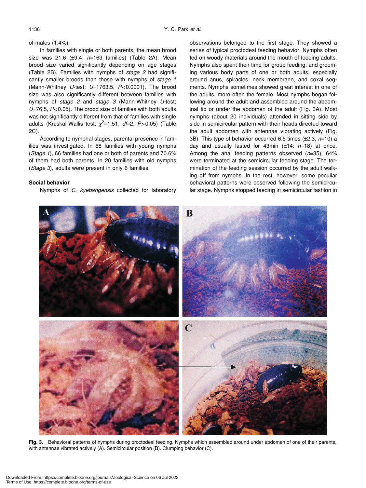### of males (1.4%).

In families with single or both parents, the mean brood size was 21.6 (±9.4; *n*=163 families) (Table 2A). Mean brood size varied significantly depending on age stages (Table 2B). Families with nymphs of *stage 2* had significantly smaller broods than those with nymphs of *stage 1* (Mann-Whitney *U*-test; *U*=1763.5, *P*<0.0001). The brood size was also significantly different between families with nymphs of *stage 2* and *stage 3* (Mann-Whitney *U*-test; *U*=76.5, *P*<0.05). The brood size of families with both adults was not significantly different from that of families with single adults (Kruskal-Wallis test;  $\chi^2$ =1.51, *df*=2, P>0.05) (Table 2C).

According to nymphal stages, parental presence in families was investigated. In 68 families with young nymphs (*Stage 1*), 66 families had one or both of parents and 70.6% of them had both parents. In 20 families with old nymphs (*Stage 3*), adults were present in only 6 families.

# **Social behavior**

Nymphs of *C. kyebangensis* collected for laboratory

observations belonged to the first stage. They showed a series of typical proctodeal feeding behavior. Nymphs often fed on woody materials around the mouth of feeding adults. Nymphs also spent their time for group feeding, and grooming various body parts of one or both adults, especially around anus, spiracles, neck membrane, and coxal segments. Nymphs sometimes showed great interest in one of the adults, more often the female. Most nymphs began following around the adult and assembled around the abdominal tip or under the abdomen of the adult (Fig. 3A). Most nymphs (about 20 individuals) attended in sitting side by side in semicircular pattern with their heads directed toward the adult abdomen with antennae vibrating actively (Fig. 3B). This type of behavior occurred 6.5 times (±2.3, *n*=10) a day and usually lasted for 43min (±14; *n*=18) at once. Among the anal feeding patterns observed (*n*=35), 64% were terminated at the semicircular feeding stage. The termination of the feeding session occurred by the adult walking off from nymphs. In the rest, however, some peculiar behavioral patterns were observed following the semicircular stage. Nymphs stopped feeding in semicircular fashion in



**Fig. 3.** Behavioral patterns of nymphs during proctodeal feeding. Nymphs which assembled around under abdomen of one of their parents, with antennae vibrated actively (A). Semicircular position (B). Clumping behavior (C).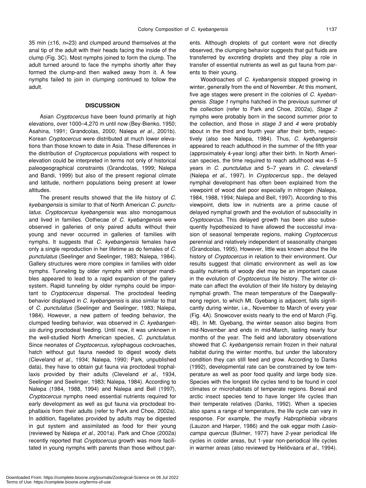35 min (±16, *n*=23) and clumped around themselves at the anal tip of the adult with their heads facing the inside of the clump (Fig. 3C). Most nymphs joined to form the clump. The adult turned around to face the nymphs shortly after they formed the clump-and then walked away from it. A few nymphs failed to join in clumping continued to follow the adult.

## **DISCUSSION**

Asian *Cryptocercus* have been found primarily at high elevations, over 1000–4,270 m until now (Bey-Bienko, 1950; Asahina, 1991; Grandcolas, 2000; Nalepa *et al*., 2001b). Korean *Cryptocercus* were distributed at much lower elevations than those known to date in Asia. These differences in the distribution of *Cryptocercus* populations with respect to elevation could be interpreted in terms not only of historical paleogeographical constraints (Grandcolas, 1999; Nalepa and Bandi, 1999) but also of the present regional climate and latitude, northern populations being present at lower altitudes.

The present results showed that the life history of *C. kyebangensis* is similar to that of North American *C. punctulatus*. *Cryptocercus kyebangensis* was also monogamous and lived in families. Oothecae of *C. kyebangensis* were observed in galleries of only paired adults without their young and never occurred in galleries of families with nymphs. It suggests that *C. kyebangensis* females have only a single reproduction in her lifetime as do females of *C. punctulatus* (Seelinger and Seelinger, 1983; Nalepa, 1984). Gallery structures were more complex in families with older nymphs. Tunneling by older nymphs with stronger mandibles appeared to lead to a rapid expansion of the gallery system. Rapid tunneling by older nymphs could be important to *Cryptocercus* dispersal. The proctodeal feeding behavior displayed in *C. kyebangensis* is also similar to that of *C. punctulatus* (Seelinger and Seelinger, 1983; Nalepa, 1984). However, a new pattern of feeding behavior, the clumped feeding behavior, was observed in *C. kyebangensis* during proctodeal feeding. Until now, it was unknown in the well-studied North American species, *C. punctulatus*. Since neonates of *Cryptocercus,* xylophagous cockroaches, hatch without gut fauna needed to digest woody diets (Cleveland *et al*., 1934; Nalepa, 1990; Park, unpublished data), they have to obtain gut fauna via proctodeal trophallaxis provided by their adults (Cleveland *et al*., 1934, Seelinger and Seelinger, 1983; Nalepa, 1984). According to Nalepa (1984, 1988, 1994) and Nalepa and Bell (1997), *Cryptocercus* nymphs need essential nutrients required for early development as well as gut fauna via proctodeal trophallaxis from their adults (refer to Park and Choe, 2002a). In addition, flagellates provided by adults may be digested in gut system and assimilated as food for their young (reviewed by Nalepa *et al*., 2001a). Park and Choe (2002a) recently reported that *Cryptocercus* growth was more facilitated in young nymphs with parents than those without parents. Although droplets of gut content were not directly observed, the clumping behavior suggests that gut fluids are transferred by excreting droplets and they play a role in transfer of essential nutrients as well as gut fauna from parents to their young.

Woodroaches of *C. kyebangensis* stopped growing in winter, generally from the end of November. At this moment, five age stages were present in the colonies of *C. kyebangensis*. *Stage 1* nymphs hatched in the previous summer of the collection (refer to Park and Choe, 2002a), *Stage 2* nymphs were probably born in the second summer prior to the collection, and those in *stage 3* and *4* were probably about in the third and fourth year after their birth, respectively (also see Nalepa, 1984). Thus, *C. kyebangensis* appeared to reach adulthood in the summer of the fifth year (approximately 4-year long) after their birth. In North American species, the time required to reach adulthood was 4–5 years in *C. punctulatus* and 5–7 years in *C. clevelandi* (Nalepa *et al*., 1997). In *Cryptocercus* spp*.*, the delayed nymphal development has often been explained from the viewpoint of wood diet poor especially in nitrogen (Nalepa, 1984, 1988, 1994; Nalepa and Bell, 1997). According to this viewpoint, diets low in nutrients are a prime cause of delayed nymphal growth and the evolution of subsociality in *Cryptocercus.* This delayed growth has been also subsequently hypothesized to have allowed the successful invasion of seasonal temperate regions, making *Cryptocercus* perennial and relatively independent of seasonality changes (Grandcolas, 1995). However, little was known about the life history of *Cryptocercus* in relation to their environment. Our results suggest that climatic environment as well as low quality nutrients of woody diet may be an important cause in the evolution of *Cryptocercus* life history. The winter climate can affect the evolution of their life history by delaying nymphal growth. The mean temperature of the Daegwallyeong region, to which Mt. Gyebang is adjacent, falls significantly during winter, i.e., November to March of every year (Fig. 4A). Snowcover exists nearly to the end of March (Fig. 4B). In Mt. Gyebang, the winter season also begins from mid-November and ends in mid-March, lasting nearly four months of the year. The field and laboratory observations showed that *C. kyebangensis* remain frozen in their natural habitat during the winter months, but under the laboratory condition they can still feed and grow. According to Danks (1992), developmental rate can be constrained by low temperature as well as poor food quality and large body size. Species with the longest life cycles tend to be found in cool climates or microhabitats of temperate regions. Boreal and arctic insect species tend to have longer life cycles than their temperate relatives (Danks, 1992). When a species also spans a range of temperature, the life cycle can vary in response. For example, the mayfly *Habrophlebia vibrans* (Lauzon and Harper, 1986) and the oak eggar moth *Lasiocampa quercus* (Bulmer, 1977) have 2-year periodical life cycles in colder areas, but 1-year non-periodical life cycles in warmer areas (also reviewed by Heliövaara *et al*., 1994).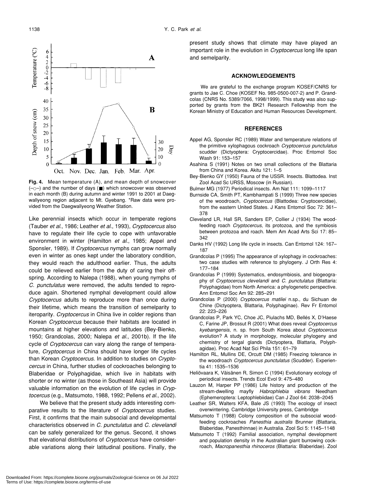

**Fig. 4.** Mean temperature (A), and mean depth of snowcover (– –) and the number of days ( ) which snowcover was observed in each month (B) during autumn and winter 1991 to 2001 at Daegwallyeong region adjacent to Mt. Gyebang. \*Raw data were provided from the Daegwallyeong Weather Station.

Like perennial insects which occur in temperate regions (Tauber *et al*., 1986; Leather *et al*., 1993), *Cryptocercus* also have to regulate their life cycle to cope with unfavorable environment in winter (Hamilton *et al*., 1985; Appel and Sponsler, 1989). If *Cryptocercus* nymphs can grow normally even in winter as ones kept under the laboratory condition, they would reach the adulthood earlier. Thus, the adults could be relieved earlier from the duty of caring their offspring. According to Nalepa (1988), when young nymphs of *C. punctulatus* were removed, the adults tended to reproduce again. Shortened nymphal development could allow *Cryptocercus* adults to reproduce more than once during their lifetime, which means the transition of semelparity to iteroparity. *Cryptocercus* in China live in colder regions than Korean *Cryptocercus* because their habitats are located in mountains at higher elevations and latitudes (Bey-Bienko, 1950; Grandcolas, 2000; Nalepa *et al*., 2001b). If the life cycle of *Cryptocercus* can vary along the range of temperature, *Cryptocercus* in China should have longer life cycles than Korean *Cryptocercus*. In addition to studies on *Cryptocercus* in China, further studies of cockroaches belonging to Blaberidae or Polyphagidae, which live in habitats with shorter or no winter (as those in Southeast Asia) will provide valuable information on the evolution of life cycles in *Cryptocercus* (e.g., Matsumoto, 1988, 1992; Pellens *et al*., 2002).

We believe that the present study adds interesting comparative results to the literature of *Cryptocercus* studies. First, it confirms that the main subsocial and developmental characteristics observed in *C. punctulatus* and *C. clevelandi* can be safely generalized for the genus. Second, it shows that elevational distributions of *Cryptocercus* have considerable variations along their latitudinal positions. Finally, the

present study shows that climate may have played an important role in the evolution in *Cryptocercus* long life span and semelparity.

#### **ACKNOWLEDGEMENTS**

We are grateful to the exchange program KOSEF/CNRS for grants to Jae C. Choe (KOSEF No. 985-0500-007-2) and P. Grandcolas (CNRS No. 5389/7066, 1998/1999). This study was also supported by grants from the BK21 Research Fellowship from the Korean Ministry of Education and Human Resources Development.

# **REFERENCES**

- Appel AG, Sponsler RC (1989) Water and temperature relations of the primitive xylophagous cockroach *Cryptocercus punctulatus* scudder (Dictyoptera: Cryptocercidae). Proc Entomol Soc Wash 91: 153–157
- Asahina S (1991) Notes on two small collections of the Blattaria from China and Korea. Akitu 121: 1–5
- Bey-Bienko GY (1950) Fauna of the USSR. Insects. Blattodea. Inst Zool Acad Sc URSS, Moscow (in Russian).
- Bulmer MG (1977) Periodical insects. Am Nat 111: 1099–1117
- Burnside CA, Smith PT, Kambhampati S (1999) Three new species of the woodroach, *Cryptocercus* (Blattodea: Cryptocercidae), from the eastern United States. J Kans Entomol Soc 72: 361– 378
- Cleveland LR, Hall SR, Sanders EP, Collier J (1934) The woodfeeding roach *Cryptocercus*, its protozoa, and the symbiosis between protozoa and roach. Mem Am Acad Arts Sci 17: 85– 342
- Danks HV (1992) Long life cycle in insects. Can Entomol 124: 167– 187
- Grandcolas P (1995) The appearance of xylophagy in cockroaches: two case studies with reference to phylogeny. J Orth Res 4: 177–184
- Grandcolas P (1999) Systematics, endosymbiosis, and biogeography of *Cryptocercus clevelandi* and *C. punctulatus* (Blattaria: Polyphagidae) from North America: a phylogenetic perspective. Ann Entomol Soc Am 92: 285–291
- Grandcolas P (2000) *Cryptocercus matilei* n.sp., du Sichuan de Chine (Dictyoptera, Blattaria, Polyphaginae). Rev Fr Entomol 22: 223–226
- Grandcolas P, Park YC, Choe JC, Piulachs MD, Bellés X, D'Haese C, Farine JP, Brossut R (2001) What does reveal *Cryptocercus kyebangensis*, n. sp. from South Korea about *Cryptocercus* evolution? A study in morphology, molecular phylogeny and chemistry of tergal glands (Dictyoptera, Blattaria, Polyphagidae). Proc Acad Nat Sci Phila 151: 61–79
- Hamilton RL, Mullins DE, Orcutt DM (1985) Freezing tolerance in the woodroach *Cryptocercus punctulatus* (Scudder). Experientia 41: 1535–1536
- Heliövaara K, Väisänen R, Simon C (1994) Evolutionary ecology of periodical insects. Trends Ecol Evol 9: 475–480
- Lauzon M, Harper PP (1986) Life history and production of the stream-dwelling mayfly *Habrophlebia vibrans* Needham (Ephemeroptera: Leptophlebiidae) Can J Zool 64: 2038–2045
- Leather SR, Walters KFA, Bale JS (1993) The ecology of insect overwintering. Cambridge University press, Cambridge
- Matsumoto T (1988) Colony composition of the subsocial woodfeeding cockroaches *Panesthia australis* Brunner (Blattaria, Blaberidae, Panesthinnae) in Australia. Zool Sci 5: 1145–1148
- Matsumoto T (1992) Familial association, nymphal development and population density in the Australian giant burrowing cockroach, *Macropanesthia rhinoceros* (Blattaria: Blaberidae). Zool